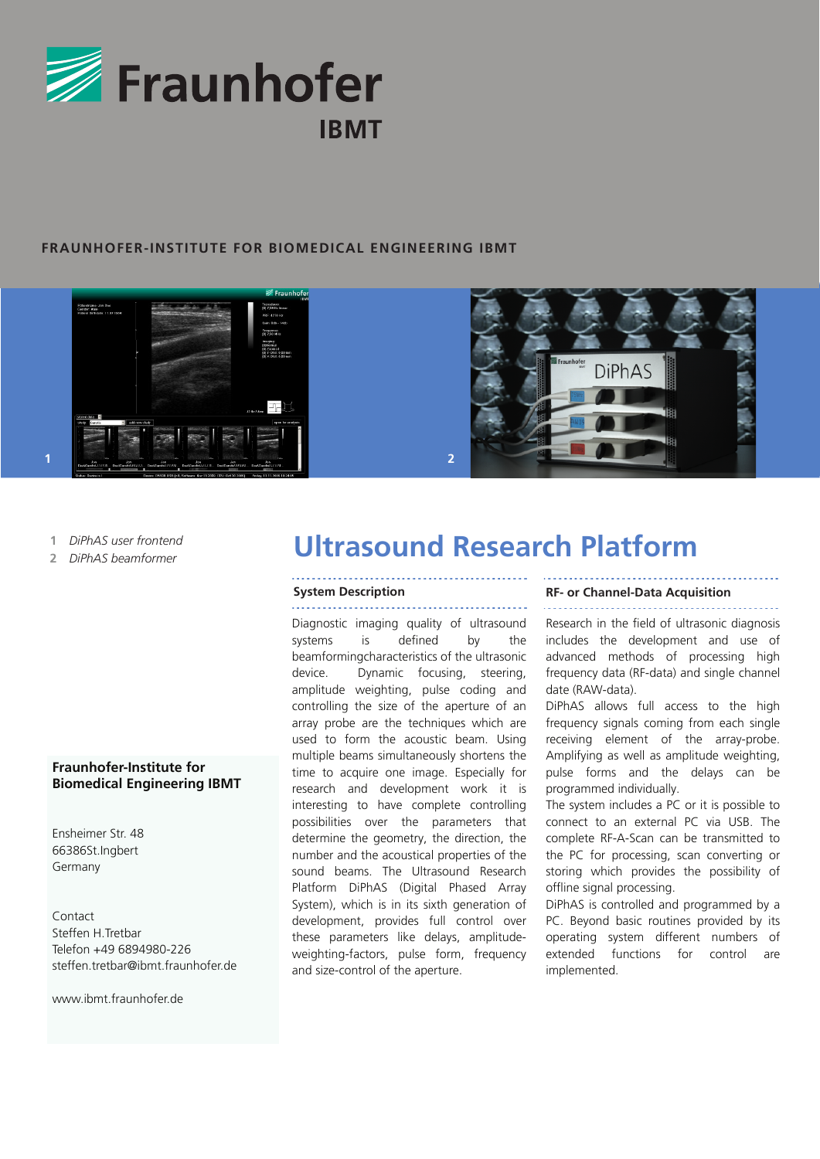

# **FRAUNHOFER-INSTITUTE FOR BIOMEDICAL ENGINEERING IBMT**





- *DiPhAS user frontend* **1**
- *DiPhAS beamformer* **2**

# **Fraunhofer-Institute for Biomedical Engineering IBMT**

Ensheimer Str. 48 66386St.Ingbert Germany

Contact Steffen H. Trethar Telefon +49 6894980-226 steffen.tretbar@ibmt.fraunhofer.de

www.ibmt.fraunhofer.de

# **Ultrasound Research Platform**

# . . . . . . . . . . . . . . . . . . . .

Diagnostic imaging quality of ultrasound systems is defined by the beamformingcharacteristics of the ultrasonic device. Dynamic focusing, steering, amplitude weighting, pulse coding and controlling the size of the aperture of an array probe are the techniques which are used to form the acoustic beam. Using multiple beams simultaneously shortens the time to acquire one image. Especially for research and development work it is interesting to have complete controlling possibilities over the parameters that determine the geometry, the direction, the number and the acoustical properties of the sound beams. The Ultrasound Research Platform DiPhAS (Digital Phased Array System), which is in its sixth generation of development, provides full control over these parameters like delays, amplitudeweighting-factors, pulse form, frequency and size-control of the aperture.

# **System Description RF- or Channel-Data Acquisition**

Research in the field of ultrasonic diagnosis includes the development and use of advanced methods of processing high frequency data (RF-data) and single channel date (RAW-data).

DiPhAS allows full access to the high frequency signals coming from each single receiving element of the array-probe. Amplifying as well as amplitude weighting, pulse forms and the delays can be programmed individually.

The system includes a PC or it is possible to connect to an external PC via USB. The complete RF-A-Scan can be transmitted to the PC for processing, scan converting or storing which provides the possibility of offline signal processing.

DiPhAS is controlled and programmed by a PC. Beyond basic routines provided by its operating system different numbers of extended functions for control are implemented.